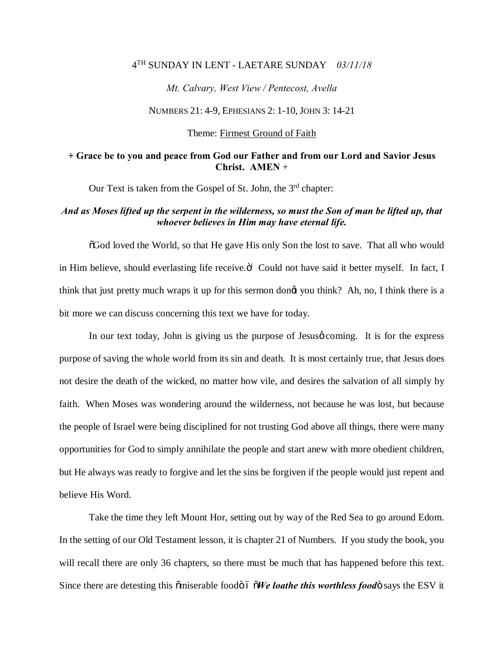## 4TH SUNDAY IN LENT - LAETARE SUNDAY *03/11/18*

*Mt. Calvary, West View / Pentecost, Avella* 

NUMBERS 21: 4-9, EPHESIANS 2: 1-10, JOHN 3: 14-21

Theme: Firmest Ground of Faith

## **+ Grace be to you and peace from God our Father and from our Lord and Savior Jesus Christ. AMEN** +

Our Text is taken from the Gospel of St. John, the  $3<sup>rd</sup>$  chapter:

## *And as Moses lifted up the serpent in the wilderness, so must the Son of man be lifted up, that whoever believes in Him may have eternal life.*

 $\delta$ God loved the World, so that He gave His only Son the lost to save. That all who would in Him believe, should everlasting life receive. $\ddot{o}^i$  Could not have said it better myself. In fact, I think that just pretty much wraps it up for this sermon dong you think? Ah, no, I think there is a bit more we can discuss concerning this text we have for today.

In our text today, John is giving us the purpose of Jesus o coming. It is for the express purpose of saving the whole world from its sin and death. It is most certainly true, that Jesus does not desire the death of the wicked, no matter how vile, and desires the salvation of all simply by faith. When Moses was wondering around the wilderness, not because he was lost, but because the people of Israel were being disciplined for not trusting God above all things, there were many opportunities for God to simply annihilate the people and start anew with more obedient children, but He always was ready to forgive and let the sins be forgiven if the people would just repent and believe His Word.

Take the time they left Mount Hor, setting out by way of the Red Sea to go around Edom. In the setting of our Old Testament lesson, it is chapter 21 of Numbers. If you study the book, you will recall there are only 36 chapters, so there must be much that has happened before this text. Since there are detesting this omiserable foodo 6  $\delta$ *We loathe this worthless food* says the ESV it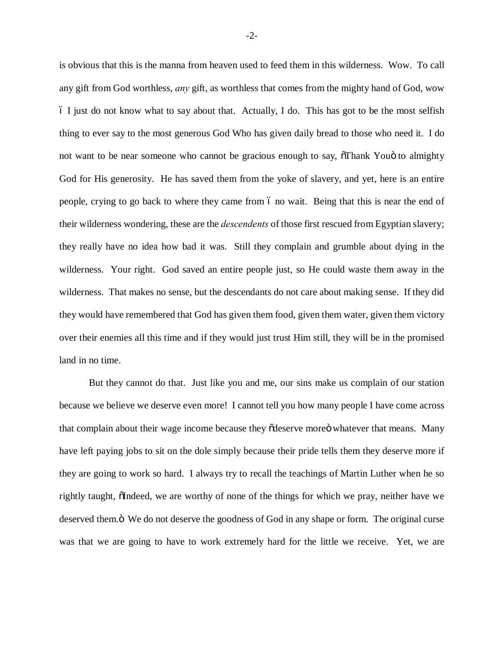is obvious that this is the manna from heaven used to feed them in this wilderness. Wow. To call any gift from God worthless, *any* gift, as worthless that comes from the mighty hand of God, wow  $\delta$  I just do not know what to say about that. Actually, I do. This has got to be the most selfish thing to ever say to the most generous God Who has given daily bread to those who need it. I do not want to be near someone who cannot be gracious enough to say,  $\delta$ Thank You $\ddot{o}$  to almighty God for His generosity. He has saved them from the yoke of slavery, and yet, here is an entire people, crying to go back to where they came from 6 no wait. Being that this is near the end of their wilderness wondering, these are the *descendents* of those first rescued from Egyptian slavery; they really have no idea how bad it was. Still they complain and grumble about dying in the wilderness. Your right. God saved an entire people just, so He could waste them away in the wilderness. That makes no sense, but the descendants do not care about making sense. If they did they would have remembered that God has given them food, given them water, given them victory over their enemies all this time and if they would just trust Him still, they will be in the promised land in no time.

But they cannot do that. Just like you and me, our sins make us complain of our station because we believe we deserve even more! I cannot tell you how many people I have come across that complain about their wage income because they odeserve more o whatever that means. Many have left paying jobs to sit on the dole simply because their pride tells them they deserve more if they are going to work so hard. I always try to recall the teachings of Martin Luther when he so rightly taught,  $\delta$ Indeed, we are worthy of none of the things for which we pray, neither have we deserved them.  $\ddot{o}$  We do not deserve the goodness of God in any shape or form. The original curse was that we are going to have to work extremely hard for the little we receive. Yet, we are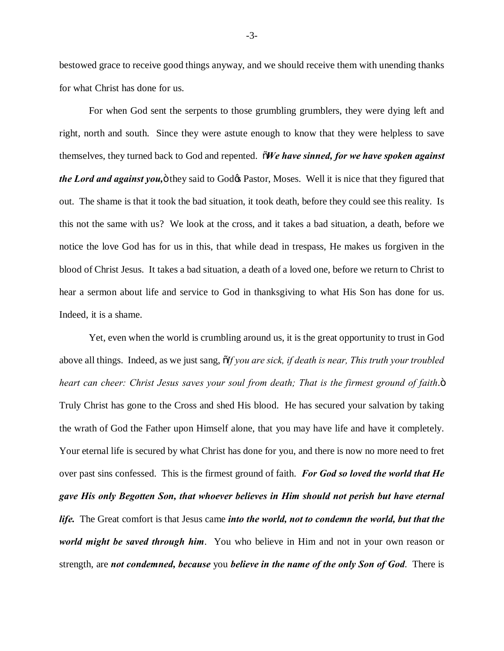bestowed grace to receive good things anyway, and we should receive them with unending thanks for what Christ has done for us.

For when God sent the serpents to those grumbling grumblers, they were dying left and right, north and south. Since they were astute enough to know that they were helpless to save themselves, they turned back to God and repented. "*We have sinned, for we have spoken against the Lord and against you*,  $\ddot{o}$  they said to God $\alpha$  Pastor, Moses. Well it is nice that they figured that out. The shame is that it took the bad situation, it took death, before they could see this reality. Is this not the same with us? We look at the cross, and it takes a bad situation, a death, before we notice the love God has for us in this, that while dead in trespass, He makes us forgiven in the blood of Christ Jesus. It takes a bad situation, a death of a loved one, before we return to Christ to hear a sermon about life and service to God in thanksgiving to what His Son has done for us. Indeed, it is a shame.

Yet, even when the world is crumbling around us, it is the great opportunity to trust in God above all things. Indeed, as we just sang, "*If you are sick, if death is near, This truth your troubled heart can cheer: Christ Jesus saves your soul from death; That is the firmest ground of faith.*" Truly Christ has gone to the Cross and shed His blood. He has secured your salvation by taking the wrath of God the Father upon Himself alone, that you may have life and have it completely. Your eternal life is secured by what Christ has done for you, and there is now no more need to fret over past sins confessed. This is the firmest ground of faith. *For God so loved the world that He gave His only Begotten Son, that whoever believes in Him should not perish but have eternal life.* The Great comfort is that Jesus came *into the world, not to condemn the world, but that the world might be saved through him*. You who believe in Him and not in your own reason or strength, are *not condemned, because* you *believe in the name of the only Son of God*. There is